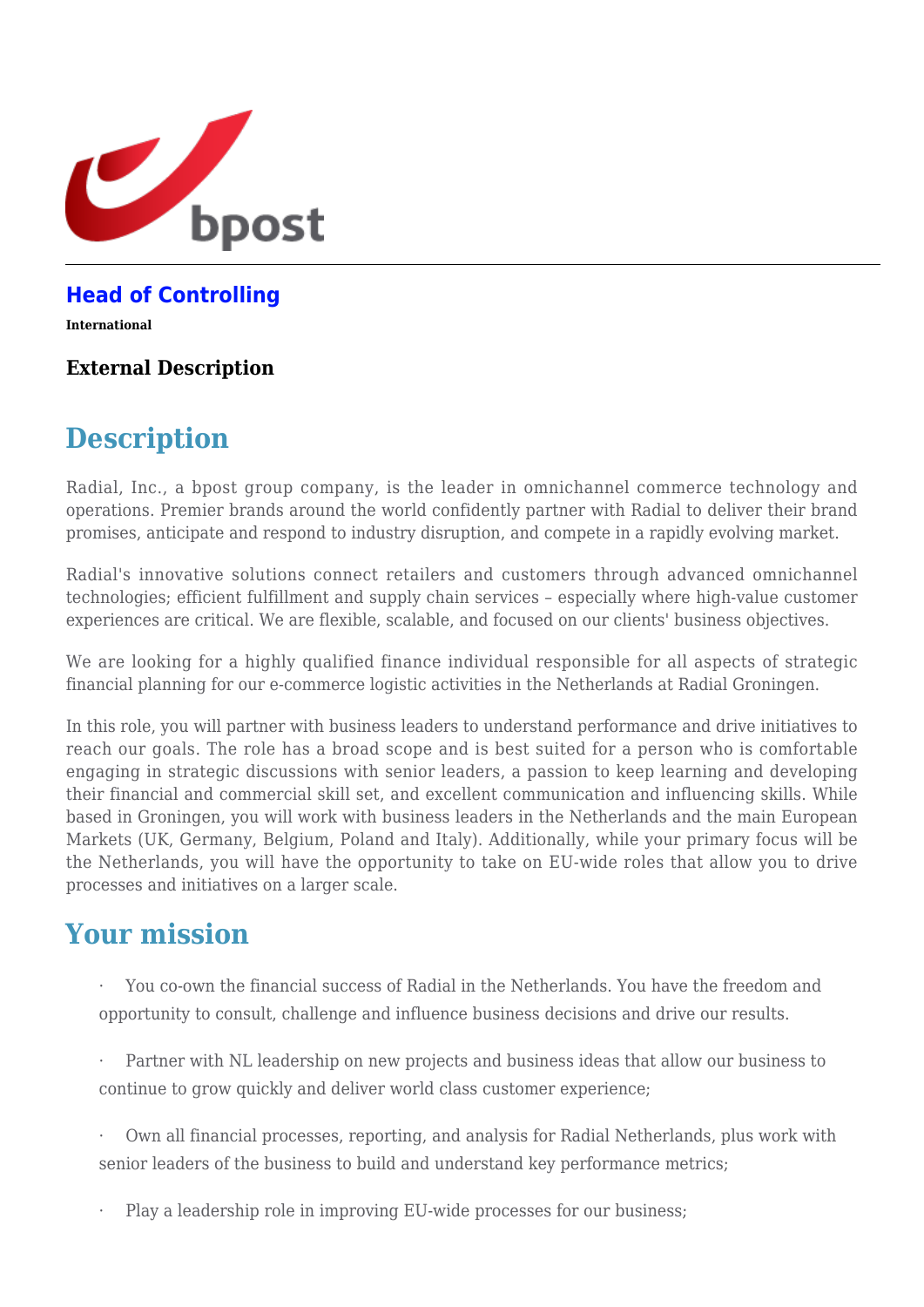

#### **[Head of Controlling](https://career.bpost.be/en/vacancy/international/head-controlling/req5610)**

**International**

#### **External Description**

# **Description**

Radial, Inc., a bpost group company, is the leader in omnichannel commerce technology and operations. Premier brands around the world confidently partner with Radial to deliver their brand promises, anticipate and respond to industry disruption, and compete in a rapidly evolving market.

Radial's innovative solutions connect retailers and customers through advanced omnichannel technologies; efficient fulfillment and supply chain services – especially where high-value customer experiences are critical. We are flexible, scalable, and focused on our clients' business objectives.

We are looking for a highly qualified finance individual responsible for all aspects of strategic financial planning for our e-commerce logistic activities in the Netherlands at Radial Groningen.

In this role, you will partner with business leaders to understand performance and drive initiatives to reach our goals. The role has a broad scope and is best suited for a person who is comfortable engaging in strategic discussions with senior leaders, a passion to keep learning and developing their financial and commercial skill set, and excellent communication and influencing skills. While based in Groningen, you will work with business leaders in the Netherlands and the main European Markets (UK, Germany, Belgium, Poland and Italy). Additionally, while your primary focus will be the Netherlands, you will have the opportunity to take on EU-wide roles that allow you to drive processes and initiatives on a larger scale.

### **Your mission**

· You co-own the financial success of Radial in the Netherlands. You have the freedom and opportunity to consult, challenge and influence business decisions and drive our results.

Partner with NL leadership on new projects and business ideas that allow our business to continue to grow quickly and deliver world class customer experience;

· Own all financial processes, reporting, and analysis for Radial Netherlands, plus work with senior leaders of the business to build and understand key performance metrics;

Play a leadership role in improving EU-wide processes for our business;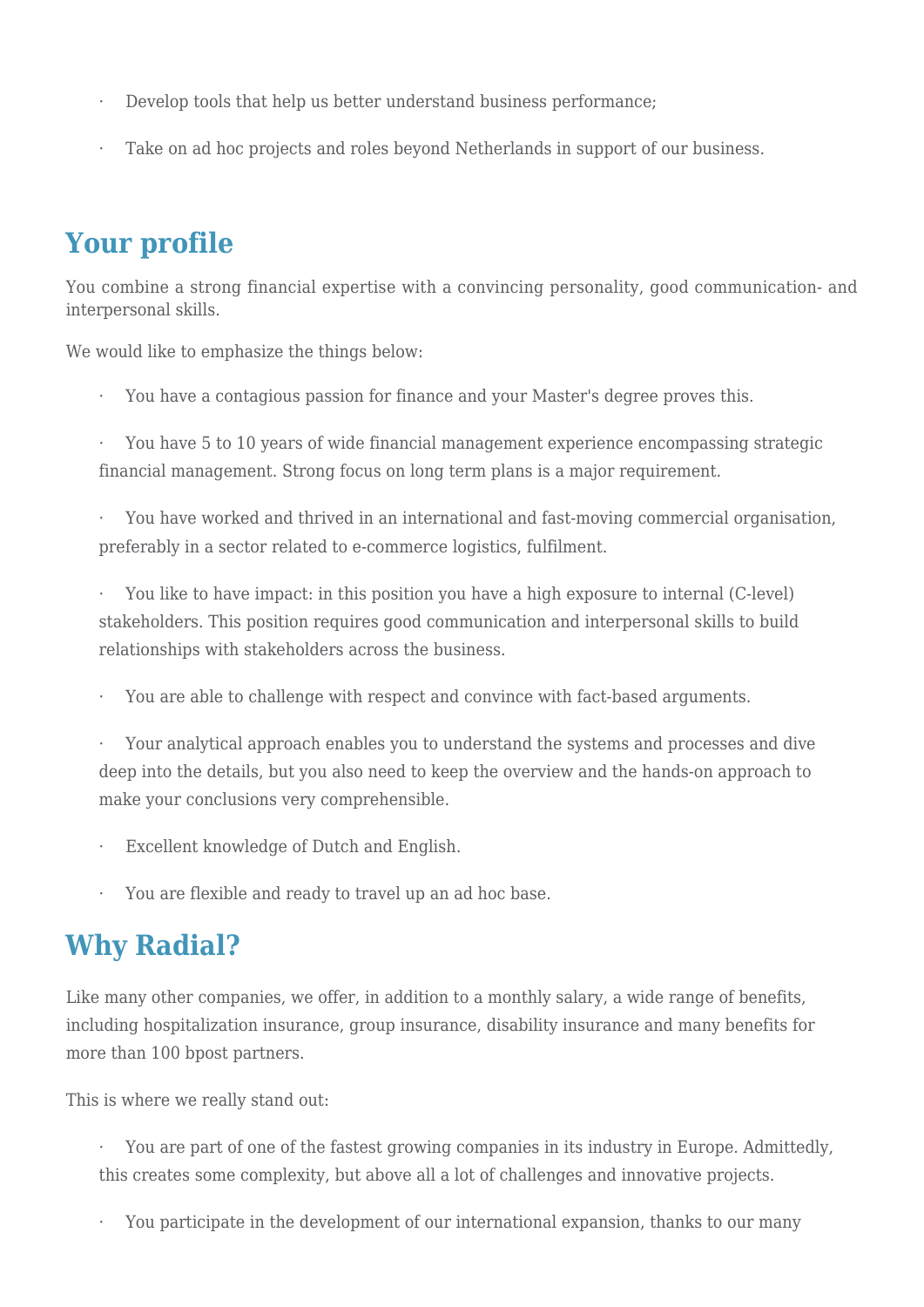- Develop tools that help us better understand business performance;
- Take on ad hoc projects and roles beyond Netherlands in support of our business.

# **Your profile**

You combine a strong financial expertise with a convincing personality, good communication- and interpersonal skills.

We would like to emphasize the things below:

· You have a contagious passion for finance and your Master's degree proves this.

· You have 5 to 10 years of wide financial management experience encompassing strategic financial management. Strong focus on long term plans is a major requirement.

· You have worked and thrived in an international and fast-moving commercial organisation, preferably in a sector related to e-commerce logistics, fulfilment.

You like to have impact: in this position you have a high exposure to internal (C-level) stakeholders. This position requires good communication and interpersonal skills to build relationships with stakeholders across the business.

You are able to challenge with respect and convince with fact-based arguments.

· Your analytical approach enables you to understand the systems and processes and dive deep into the details, but you also need to keep the overview and the hands-on approach to make your conclusions very comprehensible.

- Excellent knowledge of Dutch and English.
- You are flexible and ready to travel up an ad hoc base.

### **Why Radial?**

Like many other companies, we offer, in addition to a monthly salary, a wide range of benefits, including hospitalization insurance, group insurance, disability insurance and many benefits for more than 100 bpost partners.

This is where we really stand out:

· You are part of one of the fastest growing companies in its industry in Europe. Admittedly, this creates some complexity, but above all a lot of challenges and innovative projects.

You participate in the development of our international expansion, thanks to our many